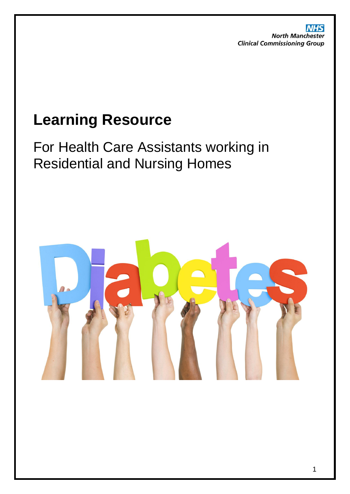**NHS North Manchester Clinical Commissioning Group** 

# **Learning Resource**

For Health Care Assistants working in Residential and Nursing Homes

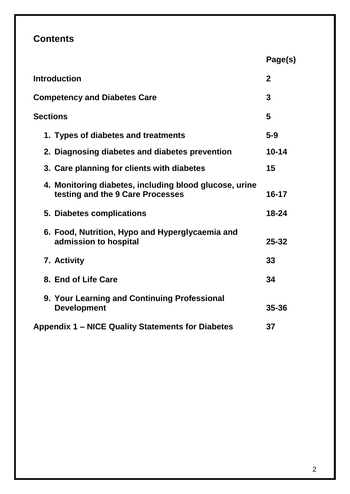# **Contents**

|                                                                                            | Page(s)        |
|--------------------------------------------------------------------------------------------|----------------|
| <b>Introduction</b>                                                                        | $\overline{2}$ |
| <b>Competency and Diabetes Care</b>                                                        | 3              |
| <b>Sections</b>                                                                            | 5              |
| 1. Types of diabetes and treatments                                                        | $5-9$          |
| 2. Diagnosing diabetes and diabetes prevention                                             | $10 - 14$      |
| 3. Care planning for clients with diabetes                                                 | 15             |
| 4. Monitoring diabetes, including blood glucose, urine<br>testing and the 9 Care Processes | $16 - 17$      |
| 5. Diabetes complications                                                                  | $18 - 24$      |
| 6. Food, Nutrition, Hypo and Hyperglycaemia and<br>admission to hospital                   | $25 - 32$      |
| 7. Activity                                                                                | 33             |
| 8. End of Life Care                                                                        | 34             |
| 9. Your Learning and Continuing Professional<br><b>Development</b>                         | 35-36          |
| Appendix 1 - NICE Quality Statements for Diabetes                                          | 37             |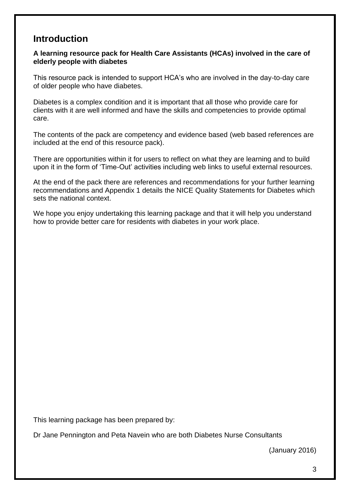# **Introduction**

#### **A learning resource pack for Health Care Assistants (HCAs) involved in the care of elderly people with diabetes**

This resource pack is intended to support HCA's who are involved in the day-to-day care of older people who have diabetes.

Diabetes is a complex condition and it is important that all those who provide care for clients with it are well informed and have the skills and competencies to provide optimal care.

The contents of the pack are competency and evidence based (web based references are included at the end of this resource pack).

There are opportunities within it for users to reflect on what they are learning and to build upon it in the form of 'Time-Out' activities including web links to useful external resources.

At the end of the pack there are references and recommendations for your further learning recommendations and Appendix 1 details the NICE Quality Statements for Diabetes which sets the national context.

We hope you enjoy undertaking this learning package and that it will help you understand how to provide better care for residents with diabetes in your work place.

This learning package has been prepared by:

Dr Jane Pennington and Peta Navein who are both Diabetes Nurse Consultants

(January 2016)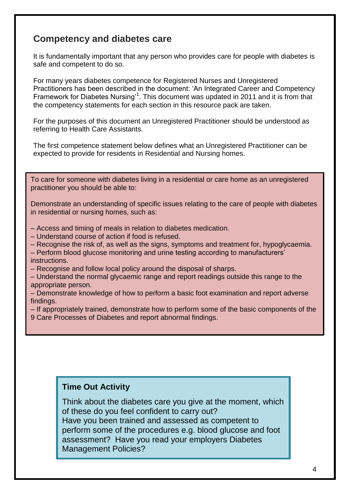# **Competency and diabetes care**

It is fundamentally important that any person who provides care for people with diabetes is safe and competent to do so.

For many years diabetes competence for Registered Nurses and Unregistered Practitioners has been described in the document: 'An Integrated Career and Competency Framework for Diabetes Nursing<sup>1</sup>. This document was updated in 2011 and it is from that the competency statements for each section in this resource pack are taken.

For the purposes of this document an Unregistered Practitioner should be understood as referring to Health Care Assistants.

The first competence statement below defines what an Unregistered Practitioner can be expected to provide for residents in Residential and Nursing homes.

To care for someone with diabetes living in a residential or care home as an unregistered practitioner you should be able to:

Demonstrate an understanding of specific issues relating to the care of people with diabetes in residential or nursing homes, such as:

- Access and timing of meals in relation to diabetes medication.
- Understand course of action if food is refused.
- Recognise the risk of, as well as the signs, symptoms and treatment for, hypoglycaemia.
- Perform blood glucose monitoring and urine testing according to manufacturers' instructions.
- Recognise and follow local policy around the disposal of sharps.

– Understand the normal glycaemic range and report readings outside this range to the appropriate person.

– Demonstrate knowledge of how to perform a basic foot examination and report adverse findings.

– If appropriately trained, demonstrate how to perform some of the basic components of the

9 Care Processes of Diabetes and report abnormal findings.

#### **Time Out Activity**

Think about the diabetes care you give at the moment, which of these do you feel confident to carry out? Have you been trained and assessed as competent to perform some of the procedures e.g. blood glucose and foot assessment? Have you read your employers Diabetes Management Policies?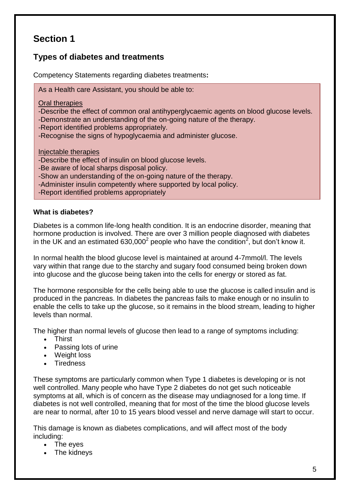### **Types of diabetes and treatments**

Competency Statements regarding diabetes treatments**:**

As a Health care Assistant, you should be able to:

Oral therapies

-Describe the effect of common oral antihyperglycaemic agents on blood glucose levels.

-Demonstrate an understanding of the on-going nature of the therapy.

-Report identified problems appropriately.

-Recognise the signs of hypoglycaemia and administer glucose.

Injectable therapies

-Describe the effect of insulin on blood glucose levels.

-Be aware of local sharps disposal policy.

-Show an understanding of the on-going nature of the therapy.

-Administer insulin competently where supported by local policy.

-Report identified problems appropriately

#### **What is diabetes?**

Diabetes is a common life-long health condition. It is an endocrine disorder, meaning that hormone production is involved. There are over 3 million people diagnosed with diabetes in the UK and an estimated 630,000<sup>2</sup> people who have the condition<sup>2</sup>, but don't know it.

In normal health the blood glucose level is maintained at around 4-7mmol/l. The levels vary within that range due to the starchy and sugary food consumed being broken down into glucose and the glucose being taken into the cells for energy or stored as fat.

The hormone responsible for the cells being able to use the glucose is called insulin and is produced in the pancreas. In diabetes the pancreas fails to make enough or no insulin to enable the cells to take up the glucose, so it remains in the blood stream, leading to higher levels than normal.

The higher than normal levels of glucose then lead to a range of symptoms including:

- Thirst
- Passing lots of urine
- Weight loss
- Tiredness

These symptoms are particularly common when Type 1 diabetes is developing or is not well controlled. Many people who have Type 2 diabetes do not get such noticeable symptoms at all, which is of concern as the disease may undiagnosed for a long time. If diabetes is not well controlled, meaning that for most of the time the blood glucose levels are near to normal, after 10 to 15 years blood vessel and nerve damage will start to occur.

This damage is known as diabetes complications, and will affect most of the body including:

- The eyes
- The kidneys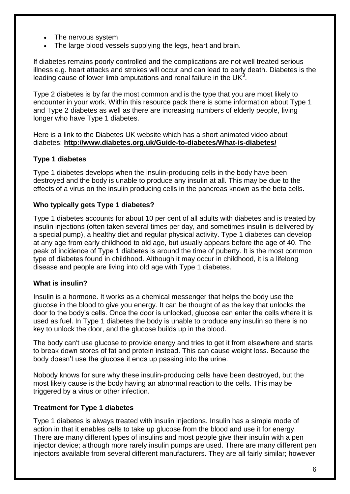- The nervous system
- The large blood vessels supplying the legs, heart and brain.

If diabetes remains poorly controlled and the complications are not well treated serious illness e.g. heart attacks and strokes will occur and can lead to early death. Diabetes is the leading cause of lower limb amputations and renal failure in the UK $3$ .

Type 2 diabetes is by far the most common and is the type that you are most likely to encounter in your work. Within this resource pack there is some information about Type 1 and Type 2 diabetes as well as there are increasing numbers of elderly people, living longer who have Type 1 diabetes.

Here is a link to the Diabetes UK website which has a short animated video about diabetes: **<http://www.diabetes.org.uk/Guide-to-diabetes/What-is-diabetes/>**

#### **Type 1 diabetes**

Type 1 diabetes develops when the insulin-producing cells in the body have been destroyed and the body is unable to produce any insulin at all. This may be due to the effects of a virus on the insulin producing cells in the pancreas known as the beta cells.

#### **Who typically gets Type 1 diabetes?**

Type 1 diabetes accounts for about 10 per cent of all adults with diabetes and is treated by insulin injections (often taken several times per day, and sometimes insulin is delivered by a special pump), a healthy diet and regular physical activity. Type 1 diabetes can develop at any age from early childhood to old age, but usually appears before the age of 40. The peak of incidence of Type 1 diabetes is around the time of puberty. It is the most common type of diabetes found in childhood. Although it may occur in childhood, it is a lifelong disease and people are living into old age with Type 1 diabetes.

#### **What is insulin?**

Insulin is a hormone. It works as a chemical messenger that helps the body use the glucose in the blood to give you energy. It can be thought of as the key that unlocks the door to the body's cells. Once the door is unlocked, glucose can enter the cells where it is used as fuel. In Type 1 diabetes the body is unable to produce any insulin so there is no key to unlock the door, and the glucose builds up in the blood.

The body can't use glucose to provide energy and tries to get it from elsewhere and starts to break down stores of fat and protein instead. This can cause weight loss. Because the body doesn't use the glucose it ends up passing into the urine.

Nobody knows for sure why these insulin-producing cells have been destroyed, but the most likely cause is the body having an abnormal reaction to the cells. This may be triggered by a virus or other infection.

#### **Treatment for Type 1 diabetes**

Type 1 diabetes is always treated with insulin injections. Insulin has a simple mode of action in that it enables cells to take up glucose from the blood and use it for energy. There are many different types of insulins and most people give their insulin with a pen injector device; although more rarely insulin pumps are used. There are many different pen injectors available from several different manufacturers. They are all fairly similar; however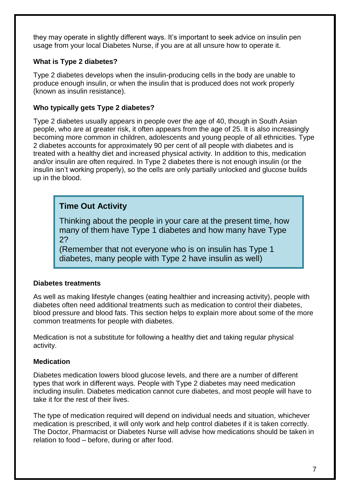they may operate in slightly different ways. It's important to seek advice on insulin pen usage from your local Diabetes Nurse, if you are at all unsure how to operate it.

#### **What is Type 2 diabetes?**

Type 2 diabetes develops when the insulin-producing cells in the body are unable to produce enough insulin, or when the insulin that is produced does not work properly (known as insulin resistance).

#### **Who typically gets Type 2 diabetes?**

Type 2 diabetes usually appears in people over the age of 40, though in South Asian people, who are at greater risk, it often appears from the age of 25. It is also increasingly becoming more common in children, adolescents and young people of all ethnicities. Type 2 diabetes accounts for approximately 90 per cent of all people with diabetes and is treated with a healthy diet and increased physical activity. In addition to this, medication and/or insulin are often required. In Type 2 diabetes there is not enough insulin (or the insulin isn't working properly), so the cells are only partially unlocked and glucose builds up in the blood.

### **Time Out Activity**

Thinking about the people in your care at the present time, how many of them have Type 1 diabetes and how many have Type 2?

(Remember that not everyone who is on insulin has Type 1 diabetes, many people with Type 2 have insulin as well)

#### **Diabetes treatments**

As well as making lifestyle changes (eating healthier and increasing activity), people with diabetes often need additional treatments such as medication to control their diabetes, blood pressure and blood fats. This section helps to explain more about some of the more common treatments for people with diabetes.

Medication is not a substitute for following a healthy diet and taking regular physical activity.

#### **Medication**

Diabetes medication lowers blood glucose levels, and there are a number of different types that work in different ways. People with Type 2 diabetes may need medication including insulin. Diabetes medication cannot cure diabetes, and most people will have to take it for the rest of their lives.

The type of medication required will depend on individual needs and situation, whichever medication is prescribed, it will only work and help control diabetes if it is taken correctly. The Doctor, Pharmacist or Diabetes Nurse will advise how medications should be taken in relation to food – before, during or after food.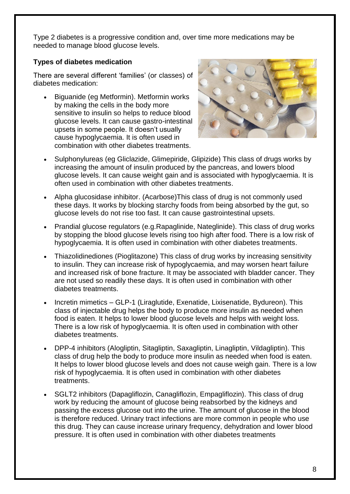Type 2 diabetes is a progressive condition and, over time more medications may be needed to manage blood glucose levels.

#### **Types of diabetes medication**

There are several different 'families' (or classes) of diabetes medication:

 Biguanide (eg Metformin). Metformin works by making the cells in the body more sensitive to insulin so helps to reduce blood glucose levels. It can cause gastro-intestinal upsets in some people. It doesn't usually cause hypoglycaemia. It is often used in combination with other diabetes treatments.



- Sulphonylureas (eg Gliclazide, Glimepiride, Glipizide) This class of drugs works by increasing the amount of insulin produced by the pancreas, and lowers blood glucose levels. It can cause weight gain and is associated with hypoglycaemia. It is often used in combination with other diabetes treatments.
- Alpha glucosidase inhibitor. (Acarbose)This class of drug is not commonly used these days. It works by blocking starchy foods from being absorbed by the gut, so glucose levels do not rise too fast. It can cause gastrointestinal upsets.
- Prandial glucose regulators (e.g.Rapaglinide, Nateglinide). This class of drug works by stopping the blood glucose levels rising too high after food. There is a low risk of hypoglycaemia. It is often used in combination with other diabetes treatments.
- Thiazolidinediones (Pioglitazone) This class of drug works by increasing sensitivity to insulin. They can increase risk of hypoglycaemia, and may worsen heart failure and increased risk of bone fracture. It may be associated with bladder cancer. They are not used so readily these days. It is often used in combination with other diabetes treatments.
- Incretin mimetics GLP-1 (Liraglutide, Exenatide, Lixisenatide, Bydureon). This class of injectable drug helps the body to produce more insulin as needed when food is eaten. It helps to lower blood glucose levels and helps with weight loss. There is a low risk of hypoglycaemia. It is often used in combination with other diabetes treatments.
- DPP-4 inhibitors (Alogliptin, Sitagliptin, Saxagliptin, Linagliptin, Vildagliptin). This class of drug help the body to produce more insulin as needed when food is eaten. It helps to lower blood glucose levels and does not cause weigh gain. There is a low risk of hypoglycaemia. It is often used in combination with other diabetes treatments.
- SGLT2 inhibitors (Dapagliflozin, Canagliflozin, Empagliflozin). This class of drug work by reducing the amount of glucose being reabsorbed by the kidneys and passing the excess glucose out into the urine. The amount of glucose in the blood is therefore reduced. Urinary tract infections are more common in people who use this drug. They can cause increase urinary frequency, dehydration and lower blood pressure. It is often used in combination with other diabetes treatments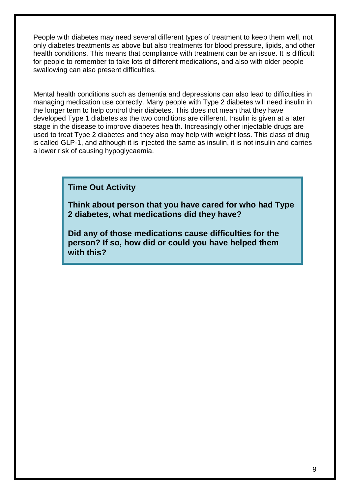People with diabetes may need several different types of treatment to keep them well, not only diabetes treatments as above but also treatments for blood pressure, lipids, and other health conditions. This means that compliance with treatment can be an issue. It is difficult for people to remember to take lots of different medications, and also with older people swallowing can also present difficulties.

Mental health conditions such as dementia and depressions can also lead to difficulties in managing medication use correctly. Many people with Type 2 diabetes will need insulin in the longer term to help control their diabetes. This does not mean that they have developed Type 1 diabetes as the two conditions are different. Insulin is given at a later stage in the disease to improve diabetes health. Increasingly other injectable drugs are used to treat Type 2 diabetes and they also may help with weight loss. This class of drug is called GLP-1, and although it is injected the same as insulin, it is not insulin and carries a lower risk of causing hypoglycaemia.

**Time Out Activity**

**Think about person that you have cared for who had Type 2 diabetes, what medications did they have?** 

**Did any of those medications cause difficulties for the person? If so, how did or could you have helped them with this?**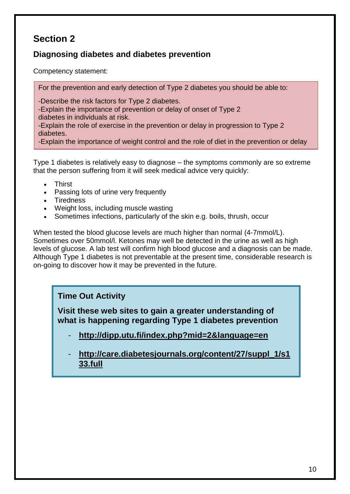### **Diagnosing diabetes and diabetes prevention**

Competency statement:

For the prevention and early detection of Type 2 diabetes you should be able to:

-Describe the risk factors for Type 2 diabetes.

-Explain the importance of prevention or delay of onset of Type 2 diabetes in individuals at risk.

-Explain the role of exercise in the prevention or delay in progression to Type 2 diabetes.

-Explain the importance of weight control and the role of diet in the prevention or delay

Type 1 diabetes is relatively easy to diagnose – the symptoms commonly are so extreme that the person suffering from it will seek medical advice very quickly:

- Thirst
- Passing lots of urine very frequently

in progression to Type 2 diabetes. The Type 2 diabetes 2 diabetes. The Type 2 diabetes. The Type 2 diabetes. T

- Tiredness
- Weight loss, including muscle wasting
- Sometimes infections, particularly of the skin e.g. boils, thrush, occur

When tested the blood glucose levels are much higher than normal (4-7mmol/L). Sometimes over 50mmol/l. Ketones may well be detected in the urine as well as high levels of glucose. A lab test will confirm high blood glucose and a diagnosis can be made. Although Type 1 diabetes is not preventable at the present time, considerable research is on-going to discover how it may be prevented in the future.

### **Time Out Activity**

**Visit these web sites to gain a greater understanding of what is happening regarding Type 1 diabetes prevention**

- **<http://dipp.utu.fi/index.php?mid=2&language=en>**
- **[http://care.diabetesjournals.org/content/27/suppl\\_1/s1](http://care.diabetesjournals.org/content/27/suppl_1/s133.full) [33.full](http://care.diabetesjournals.org/content/27/suppl_1/s133.full)**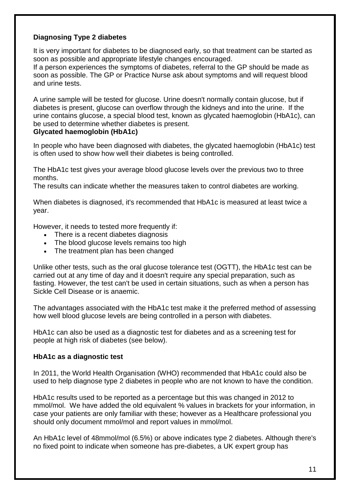#### **Diagnosing Type 2 diabetes**

It is very important for diabetes to be diagnosed early, so that treatment can be started as soon as possible and appropriate lifestyle changes encouraged.

If a person experiences the [symptoms of diabetes,](http://www.nhs.uk/Conditions/Diabetes-type2/Pages/Symptoms.aspx) referral to the GP should be made as soon as possible. The GP or Practice Nurse ask about symptoms and will request blood and urine tests.

A urine sample will be tested for glucose. Urine doesn't normally contain glucose, but if diabetes is present, glucose can overflow through the kidneys and into the urine. If the urine contains glucose, a special blood test, known as glycated haemoglobin (HbA1c), can be used to determine whether diabetes is present.

#### **Glycated haemoglobin (HbA1c)**

In people who have been diagnosed with diabetes, the glycated haemoglobin (HbA1c) test is often used to show how well their diabetes is being controlled.

The HbA1c test gives your average blood glucose levels over the previous two to three months.

The results can indicate whether the measures taken to control diabetes are working.

When diabetes is diagnosed, it's recommended that HbA1c is measured at least twice a year.

However, it needs to tested more frequently if:

- There is a recent diabetes diagnosis
- The blood glucose levels remains too high
- The treatment plan has been changed

Unlike other tests, such as the oral glucose tolerance test (OGTT), the HbA1c test can be carried out at any time of day and it doesn't require any special preparation, such as fasting. However, the test can't be used in certain situations, such as when a person has Sickle Cell Disease or is anaemic.

The advantages associated with the HbA1c test make it the preferred method of assessing how well blood glucose levels are being controlled in a person with diabetes.

HbA1c can also be used as a diagnostic test for diabetes and as a screening test for people at high risk of diabetes (see below).

#### **HbA1c as a diagnostic test**

In 2011, the World Health Organisation (WHO) recommended that HbA1c could also be used to help diagnose type 2 diabetes in people who are not known to have the condition.

HbA1c results used to be reported as a percentage but this was changed in 2012 to mmol/mol. We have added the old equivalent % values in brackets for your information, in case your patients are only familiar with these; however as a Healthcare professional you should only document mmol/mol and report values in mmol/mol.

An HbA1c level of 48mmol/mol (6.5%) or above indicates type 2 diabetes. Although there's no fixed point to indicate when someone has pre-diabetes, a UK expert group has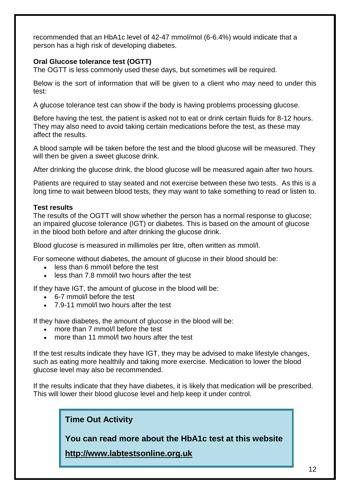recommended that an HbA1c level of 42-47 mmol/mol (6-6.4%) would indicate that a person has a high risk of developing diabetes.

#### **Oral Glucose tolerance test (OGTT)**

The OGTT is less commonly used these days, but sometimes will be required.

Below is the sort of information that will be given to a client who may need to under this test:

A glucose tolerance test can show if the body is having problems processing glucose.

Before having the test, the patient is asked not to eat or drink certain fluids for 8-12 hours. They may also need to avoid taking certain medications before the test, as these may affect the results.

A blood sample will be taken before the test and the blood glucose will be measured. They will then be given a sweet glucose drink.

After drinking the glucose drink, the blood glucose will be measured again after two hours.

Patients are required to stay seated and not exercise between these two tests. As this is a long time to wait between blood tests, they may want to take something to read or listen to.

#### **Test results**

The results of the OGTT will show whether the person has a normal response to glucose; an impaired glucose tolerance (IGT) or diabetes. This is based on the amount of glucose in the blood both before and after drinking the glucose drink.

Blood glucose is measured in millimoles per litre, often written as mmol/l.

For someone without diabetes, the amount of glucose in their blood should be:

- less than 6 mmol/l before the test
- less than 7.8 mmol/l two hours after the test

If they have IGT, the amount of glucose in the blood will be:

- 6-7 mmol/l before the test
- 7.9-11 mmol/l two hours after the test

If they have diabetes, the amount of glucose in the blood will be:

- more than 7 mmol/l before the test
- more than 11 mmol/l two hours after the test

If the test results indicate they have IGT, they may be advised to make lifestyle changes, such as eating more healthily and taking more exercise. Medication to lower the blood glucose level may also be recommended.

If the results indicate that they have diabetes, it is likely that medication will be prescribed. This will lower their blood glucose level and help keep it under control.

**Time Out Activity**

**You can read more about the HbA1c test at this website**

**[http://www.labtestsonline.org.uk](http://www.labtestsonline.org.uk/)**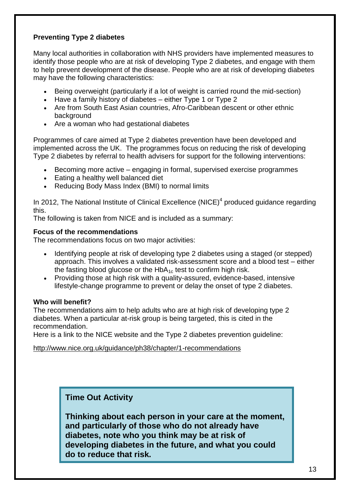#### **Preventing Type 2 diabetes**

Many local authorities in collaboration with NHS providers have implemented measures to identify those people who are at risk of developing Type 2 diabetes, and engage with them to help prevent development of the disease. People who are at risk of developing diabetes may have the following characteristics:

- Being overweight (particularly if a lot of weight is carried round the mid-section)
- Have a family history of diabetes either Type 1 or Type 2
- Are from South East Asian countries, Afro-Caribbean descent or other ethnic background
- Are a woman who had gestational diabetes

Programmes of care aimed at Type 2 diabetes prevention have been developed and implemented across the UK. The programmes focus on reducing the risk of developing Type 2 diabetes by referral to health advisers for support for the following interventions:

- Becoming more active engaging in formal, supervised exercise programmes
- Eating a healthy well balanced diet
- Reducing Body Mass Index (BMI) to normal limits

In 2012, The National Institute of Clinical Excellence (NICE)<sup>4</sup> produced guidance regarding this.

The following is taken from NICE and is included as a summary:

#### **Focus of the recommendations**

The recommendations focus on two major activities:

- Identifying people at risk of developing type 2 diabetes using a staged (or stepped) approach. This involves a validated risk-assessment score and a blood test – either the fasting blood glucose or the  $HbA_{1c}$  test to confirm high risk.
- Providing those at high risk with a quality-assured, evidence-based, intensive lifestyle-change programme to prevent or delay the onset of type 2 diabetes.

#### **Who will benefit?**

The recommendations aim to help adults who are at high risk of developing type 2 diabetes. When a particular at-risk group is being targeted, this is cited in the recommendation.

Here is a link to the NICE website and the Type 2 diabetes prevention guideline:

#### <http://www.nice.org.uk/guidance/ph38/chapter/1-recommendations>

### **Time Out Activity**

**Thinking about each person in your care at the moment, and particularly of those who do not already have diabetes, note who you think may be at risk of developing diabetes in the future, and what you could do to reduce that risk.**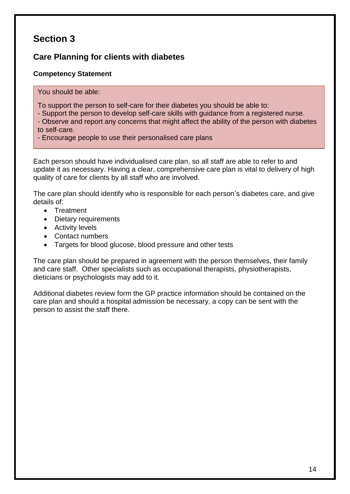### **Care Planning for clients with diabetes**

#### **Competency Statement**

You should be able:

To support the person to self-care for their diabetes you should be able to:

- Support the person to develop self-care skills with guidance from a registered nurse.

- Observe and report any concerns that might affect the ability of the person with diabetes to self-care.

- Encourage people to use their personalised care plans

Each person should have individualised care plan, so all staff are able to refer to and update it as necessary. Having a clear, comprehensive care plan is vital to delivery of high quality of care for clients by all staff who are involved.

The care plan should identify who is responsible for each person's diabetes care, and give details of:

- Treatment
- Dietary requirements
- Activity levels
- Contact numbers
- Targets for blood glucose, blood pressure and other tests

The care plan should be prepared in agreement with the person themselves, their family and care staff. Other specialists such as occupational therapists, physiotherapists, dieticians or psychologists may add to it.

Additional diabetes review form the GP practice information should be contained on the care plan and should a hospital admission be necessary, a copy can be sent with the person to assist the staff there.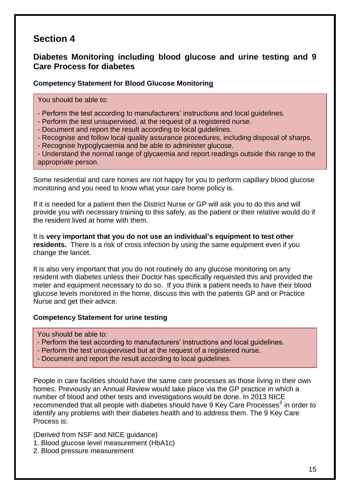### **Diabetes Monitoring including blood glucose and urine testing and 9 Care Process for diabetes**

#### **Competency Statement for Blood Glucose Monitoring**

You should be able to:

- Perform the test according to manufacturers' instructions and local guidelines.
- Perform the test unsupervised, at the request of a registered nurse.
- Document and report the result according to local guidelines.
- Recognise and follow local quality assurance procedures, including disposal of sharps.
- Recognise hypoglycaemia and be able to administer glucose.

- Understand the normal range of glycaemia and report readings outside this range to the appropriate person.

Some residential and care homes are not happy for you to perform capillary blood glucose monitoring and you need to know what your care home policy is.

If it is needed for a patient then the District Nurse or GP will ask you to do this and will provide you with necessary training to this safely, as the patient or their relative would do if the resident lived at home with them.

It is **very important that you do not use an individual's equipment to test other residents.** There is a risk of cross infection by using the same equipment even if you change the lancet.

It is also very important that you do not routinely do any glucose monitoring on any resident with diabetes unless their Doctor has specifically requested this and provided the meter and equipment necessary to do so. If you think a patient needs to have their blood glucose levels monitored in the home, discuss this with the patients GP and or Practice Nurse and get their advice.

#### **Competency Statement for urine testing**

You should be able to:

- Perform the test according to manufacturers' instructions and local guidelines.
- Perform the test unsupervised but at the request of a registered nurse.
- Document and report the result according to local guidelines.

People in care facilities should have the same care processes as those living in their own homes. Previously an Annual Review would take place via the GP practice in which a number of blood and other tests and investigations would be done. In 2013 NICE recommended that all people with diabetes should have 9 Key Care Processes<sup>5</sup> in order to identify any problems with their diabetes health and to address them. The 9 Key Care Process is:

(Derived from NSF and NICE guidance)

- 1. Blood glucose level measurement (HbA1c)
- 2. Blood pressure measurement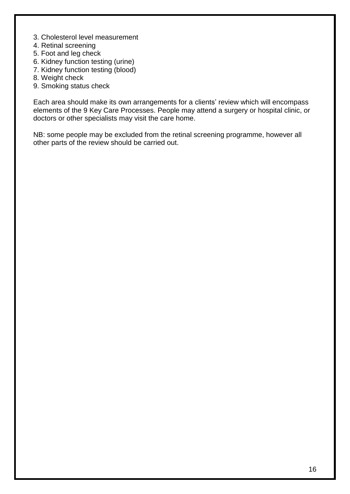- 3. Cholesterol level measurement
- 4. Retinal screening
- 5. Foot and leg check
- 6. Kidney function testing (urine)
- 7. Kidney function testing (blood)
- 8. Weight check
- 9. Smoking status check

Each area should make its own arrangements for a clients' review which will encompass elements of the 9 Key Care Processes. People may attend a surgery or hospital clinic, or doctors or other specialists may visit the care home.

NB: some people may be excluded from the retinal screening programme, however all other parts of the review should be carried out.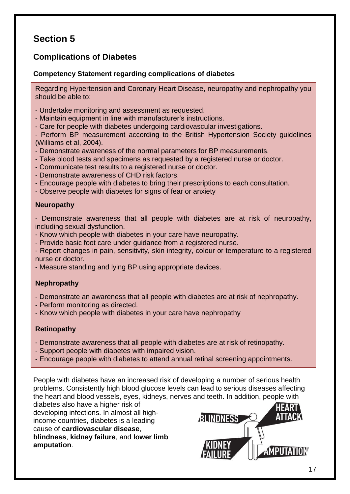## **Complications of Diabetes**

#### **Competency Statement regarding complications of diabetes**

Regarding Hypertension and Coronary Heart Disease, neuropathy and nephropathy you should be able to:

- Undertake monitoring and assessment as requested.
- Maintain equipment in line with manufacturer's instructions.
- Care for people with diabetes undergoing cardiovascular investigations.

- Perform BP measurement according to the British Hypertension Society guidelines (Williams et al, 2004).

- Demonstrate awareness of the normal parameters for BP measurements.
- Take blood tests and specimens as requested by a registered nurse or doctor.
- Communicate test results to a registered nurse or doctor.
- Demonstrate awareness of CHD risk factors.
- Encourage people with diabetes to bring their prescriptions to each consultation.
- Observe people with diabetes for signs of fear or anxiety

#### **Neuropathy**

- Demonstrate awareness that all people with diabetes are at risk of neuropathy, including sexual dysfunction.

- Know which people with diabetes in your care have neuropathy.
- Provide basic foot care under guidance from a registered nurse.

- Report changes in pain, sensitivity, skin integrity, colour or temperature to a registered nurse or doctor.

- Measure standing and lying BP using appropriate devices.

#### **Nephropathy**

- Demonstrate an awareness that all people with diabetes are at risk of nephropathy.
- Perform monitoring as directed.
- Know which people with diabetes in your care have nephropathy

#### **Retinopathy**

- Demonstrate awareness that all people with diabetes are at risk of retinopathy.
- Support people with diabetes with impaired vision.
- Encourage people with diabetes to attend annual retinal screening appointments.

People with diabetes have an increased risk of developing a number of serious health problems. Consistently high blood glucose levels can lead to serious diseases affecting the heart and blood vessels, eyes, kidneys, nerves and teeth. In addition, people with

diabetes also have a higher risk of developing infections. In almost all highincome countries, diabetes is a leading cause of **cardiovascular disease**, **blindness**, **kidney failure**, and **lower limb amputation**.

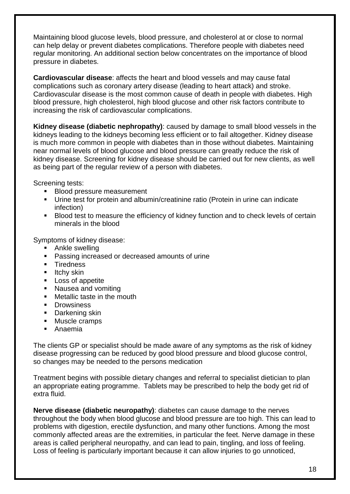Maintaining blood glucose levels, blood pressure, and cholesterol at or close to normal can help delay or prevent diabetes complications. Therefore people with diabetes need regular monitoring. An additional section below concentrates on the importance of blood pressure in diabetes.

**Cardiovascular disease**: affects the heart and blood vessels and may cause fatal complications such as coronary artery disease (leading to heart attack) and stroke. Cardiovascular disease is the most common cause of death in people with diabetes. High blood pressure, high cholesterol, high blood glucose and other risk factors contribute to increasing the risk of cardiovascular complications.

**Kidney disease (diabetic nephropathy)**: caused by damage to small blood vessels in the kidneys leading to the kidneys becoming less efficient or to fail altogether. Kidney disease is much more common in people with diabetes than in those without diabetes. Maintaining near normal levels of blood glucose and blood pressure can greatly reduce the risk of kidney disease. Screening for kidney disease should be carried out for new clients, as well as being part of the regular review of a person with diabetes.

Screening tests:

- **Blood pressure measurement**
- Urine test for protein and albumin/creatinine ratio (Protein in urine can indicate infection)
- Blood test to measure the efficiency of kidney function and to check levels of certain minerals in the blood

Symptoms of kidney disease:

- **Ankle swelling**
- **Passing increased or decreased amounts of urine**
- **Tiredness**
- $\blacksquare$  Itchy skin
- **Loss of appetite**
- Nausea and vomiting
- **Metallic taste in the mouth**
- **Drowsiness**
- **Darkening skin**
- **Muscle cramps**
- Anaemia

The clients GP or specialist should be made aware of any symptoms as the risk of kidney disease progressing can be reduced by good blood pressure and blood glucose control, so changes may be needed to the persons medication

Treatment begins with possible dietary changes and referral to specialist dietician to plan an appropriate eating programme. Tablets may be prescribed to help the body get rid of extra fluid.

**Nerve disease (diabetic neuropathy)**: diabetes can cause damage to the nerves throughout the body when blood glucose and blood pressure are too high. This can lead to problems with digestion, erectile dysfunction, and many other functions. Among the most commonly affected areas are the extremities, in particular the feet. Nerve damage in these areas is called peripheral neuropathy, and can lead to pain, tingling, and loss of feeling. Loss of feeling is particularly important because it can allow injuries to go unnoticed,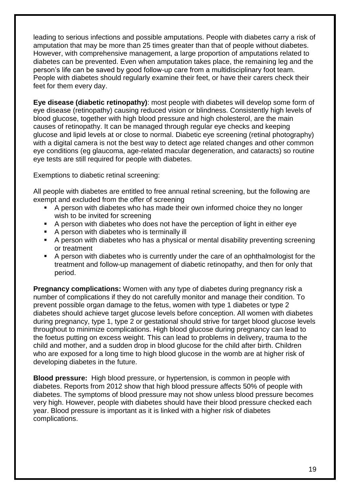leading to serious infections and possible amputations. People with diabetes carry a risk of amputation that may be more than 25 times greater than that of people without diabetes. However, with comprehensive management, a large proportion of amputations related to diabetes can be prevented. Even when amputation takes place, the remaining leg and the person's life can be saved by good follow-up care from a multidisciplinary foot team. People with diabetes should regularly examine their feet, or have their carers check their feet for them every day.

**Eye disease (diabetic retinopathy)**: most people with diabetes will develop some form of eye disease (retinopathy) causing reduced vision or blindness. Consistently high levels of blood glucose, together with high blood pressure and high cholesterol, are the main causes of retinopathy. It can be managed through regular eye checks and keeping glucose and lipid levels at or close to normal. Diabetic eye screening (retinal photography) with a digital camera is not the best way to detect age related changes and other common eye conditions (eg glaucoma, age-related macular degeneration, and cataracts) so routine eye tests are still required for people with diabetes.

Exemptions to diabetic retinal screening:

All people with diabetes are entitled to free annual retinal screening, but the following are exempt and excluded from the offer of screening

- A person with diabetes who has made their own informed choice they no longer wish to be invited for screening
- A person with diabetes who does not have the perception of light in either eye
- A person with diabetes who is terminally ill
- A person with diabetes who has a physical or mental disability preventing screening or treatment
- A person with diabetes who is currently under the care of an ophthalmologist for the treatment and follow-up management of diabetic retinopathy, and then for only that period.

**Pregnancy complications:** Women with any type of diabetes during pregnancy risk a number of complications if they do not carefully monitor and manage their condition. To prevent possible organ damage to the fetus, women with type 1 diabetes or type 2 diabetes should achieve target glucose levels before conception. All women with diabetes during pregnancy, type 1, type 2 or gestational should strive for target blood glucose levels throughout to minimize complications. High blood glucose during pregnancy can lead to the foetus putting on excess weight. This can lead to problems in delivery, trauma to the child and mother, and a sudden drop in blood glucose for the child after birth. Children who are exposed for a long time to high blood glucose in the womb are at higher risk of developing diabetes in the future.

**Blood pressure:** High blood pressure, or hypertension, is common in people with diabetes. Reports from 2012 show that high blood pressure affects 50% of people with diabetes. The symptoms of blood pressure may not show unless blood pressure becomes very high. However, people with diabetes should have their blood pressure checked each year. Blood pressure is important as it is linked with a higher risk of diabetes complications.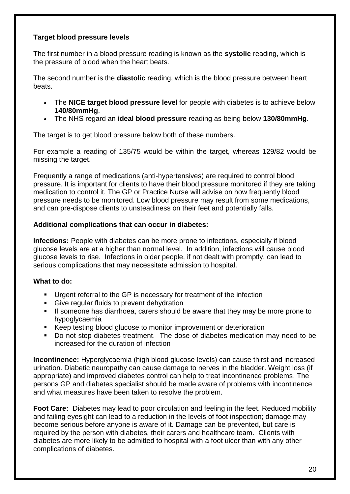#### **Target blood pressure levels**

The first number in a blood pressure reading is known as the **systolic** reading, which is the pressure of blood when the heart beats.

The second number is the **diastolic** reading, which is the blood pressure between heart beats.

- The **NICE target blood pressure leve**l for people with diabetes is to achieve below **140/80mmHg**.
- The NHS regard an **ideal blood pressure** reading as being below **130/80mmHg**.

The target is to get blood pressure below both of these numbers.

For example a reading of 135/75 would be within the target, whereas 129/82 would be missing the target.

Frequently a range of medications (anti-hypertensives) are required to control blood pressure. It is important for clients to have their blood pressure monitored if they are taking medication to control it. The GP or Practice Nurse will advise on how frequently blood pressure needs to be monitored. Low blood pressure may result from some medications, and can pre-dispose clients to unsteadiness on their feet and potentially falls.

#### **Additional complications that can occur in diabetes:**

**Infections:** People with diabetes can be more prone to infections, especially if blood glucose levels are at a higher than normal level. In addition, infections will cause blood glucose levels to rise. Infections in older people, if not dealt with promptly, can lead to serious complications that may necessitate admission to hospital.

#### **What to do:**

- Urgent referral to the GP is necessary for treatment of the infection
- **Give regular fluids to prevent dehydration**
- If someone has diarrhoea, carers should be aware that they may be more prone to hypoglycaemia
- Keep testing blood glucose to monitor improvement or deterioration
- Do not stop diabetes treatment. The dose of diabetes medication may need to be increased for the duration of infection

**Incontinence:** Hyperglycaemia (high blood glucose levels) can cause thirst and increased urination. Diabetic neuropathy can cause damage to nerves in the bladder. Weight loss (if appropriate) and improved diabetes control can help to treat incontinence problems. The persons GP and diabetes specialist should be made aware of problems with incontinence and what measures have been taken to resolve the problem.

**Foot Care:** Diabetes may lead to poor circulation and feeling in the feet. Reduced mobility and failing eyesight can lead to a reduction in the levels of foot inspection; damage may become serious before anyone is aware of it. Damage can be prevented, but care is required by the person with diabetes, their carers and healthcare team. Clients with diabetes are more likely to be admitted to hospital with a foot ulcer than with any other complications of diabetes.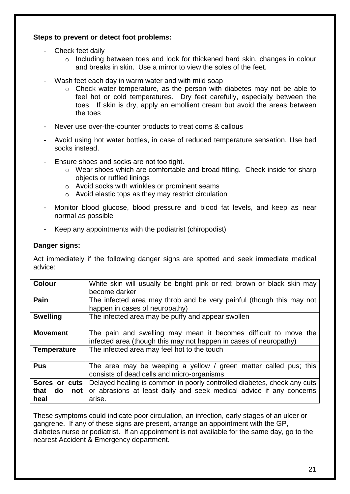#### **Steps to prevent or detect foot problems:**

- Check feet daily
	- o Including between toes and look for thickened hard skin, changes in colour and breaks in skin. Use a mirror to view the soles of the feet.
- Wash feet each day in warm water and with mild soap
	- o Check water temperature, as the person with diabetes may not be able to feel hot or cold temperatures. Dry feet carefully, especially between the toes. If skin is dry, apply an emollient cream but avoid the areas between the toes
- Never use over-the-counter products to treat corns & callous
- Avoid using hot water bottles, in case of reduced temperature sensation. Use bed socks instead.
- Ensure shoes and socks are not too tight.
	- o Wear shoes which are comfortable and broad fitting. Check inside for sharp objects or ruffled linings
	- o Avoid socks with wrinkles or prominent seams
	- o Avoid elastic tops as they may restrict circulation
- Monitor blood glucose, blood pressure and blood fat levels, and keep as near normal as possible
- Keep any appointments with the podiatrist (chiropodist)

#### **Danger signs:**

Act immediately if the following danger signs are spotted and seek immediate medical advice:

| <b>Colour</b>      | White skin will usually be bright pink or red; brown or black skin may<br>become darker                                              |  |  |
|--------------------|--------------------------------------------------------------------------------------------------------------------------------------|--|--|
| Pain               | The infected area may throb and be very painful (though this may not<br>happen in cases of neuropathy)                               |  |  |
| <b>Swelling</b>    | The infected area may be puffy and appear swollen                                                                                    |  |  |
| <b>Movement</b>    | The pain and swelling may mean it becomes difficult to move the<br>infected area (though this may not happen in cases of neuropathy) |  |  |
| <b>Temperature</b> | The infected area may feel hot to the touch                                                                                          |  |  |
| <b>Pus</b>         | The area may be weeping a yellow / green matter called pus; this<br>consists of dead cells and micro-organisms                       |  |  |
| Sores or cuts      | Delayed healing is common in poorly controlled diabetes, check any cuts                                                              |  |  |
| that<br>do<br>not  | or abrasions at least daily and seek medical advice if any concerns                                                                  |  |  |
| heal               | arise.                                                                                                                               |  |  |

These symptoms could indicate poor circulation, an infection, early stages of an ulcer or gangrene. If any of these signs are present, arrange an appointment with the GP, diabetes nurse or podiatrist. If an appointment is not available for the same day, go to the nearest Accident & Emergency department.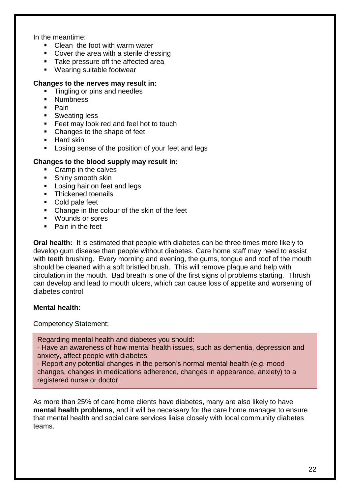In the meantime:

- Clean the foot with warm water
- Cover the area with a sterile dressing
- **Take pressure off the affected area**
- Wearing suitable footwear

#### **Changes to the nerves may result in:**

- **Tingling or pins and needles**
- **Numbness**
- **Pain**
- **Sweating less**
- **Feet may look red and feel hot to touch**
- Changes to the shape of feet
- $\blacksquare$  Hard skin
- **EXECT** Losing sense of the position of your feet and legs

#### **Changes to the blood supply may result in:**

- Cramp in the calves
- **Shiny smooth skin**
- **Losing hair on feet and legs**
- **Thickened toenails**
- Cold pale feet
- Change in the colour of the skin of the feet
- Wounds or sores
- **Pain in the feet**

**Oral health:** It is estimated that people with diabetes can be three times more likely to develop gum disease than people without diabetes. Care home staff may need to assist with teeth brushing. Every morning and evening, the gums, tongue and roof of the mouth should be cleaned with a soft bristled brush. This will remove plaque and help with circulation in the mouth. Bad breath is one of the first signs of problems starting. Thrush can develop and lead to mouth ulcers, which can cause loss of appetite and worsening of diabetes control

#### **Mental health:**

Competency Statement:

Regarding mental health and diabetes you should:

- Have an awareness of how mental health issues, such as dementia, depression and anxiety, affect people with diabetes.

- Report any potential changes in the person's normal mental health (e.g. mood changes, changes in medications adherence, changes in appearance, anxiety) to a registered nurse or doctor.

As more than 25% of care home clients have diabetes, many are also likely to have **mental health problems**, and it will be necessary for the care home manager to ensure that mental health and social care services liaise closely with local community diabetes teams.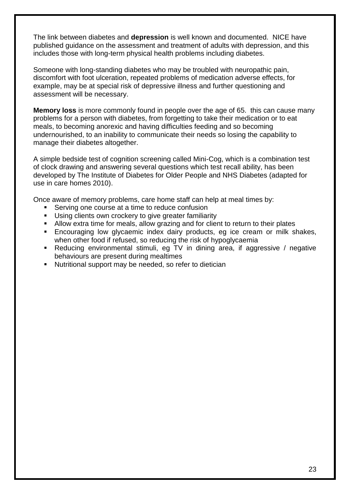The link between diabetes and **depression** is well known and documented. NICE have published guidance on the assessment and treatment of adults with depression, and this includes those with long-term physical health problems including diabetes.

Someone with long-standing diabetes who may be troubled with neuropathic pain, discomfort with foot ulceration, repeated problems of medication adverse effects, for example, may be at special risk of depressive illness and further questioning and assessment will be necessary.

**Memory loss** is more commonly found in people over the age of 65. this can cause many problems for a person with diabetes, from forgetting to take their medication or to eat meals, to becoming anorexic and having difficulties feeding and so becoming undernourished, to an inability to communicate their needs so losing the capability to manage their diabetes altogether.

A simple bedside test of cognition screening called Mini-Cog, which is a combination test of clock drawing and answering several questions which test recall ability, has been developed by The Institute of Diabetes for Older People and NHS Diabetes (adapted for use in care homes 2010).

Once aware of memory problems, care home staff can help at meal times by:

- Serving one course at a time to reduce confusion
- Using clients own crockery to give greater familiarity
- Allow extra time for meals, allow grazing and for client to return to their plates
- Encouraging low glycaemic index dairy products, eg ice cream or milk shakes, when other food if refused, so reducing the risk of hypoglycaemia
- Reducing environmental stimuli, eg TV in dining area, if aggressive / negative behaviours are present during mealtimes
- Nutritional support may be needed, so refer to dietician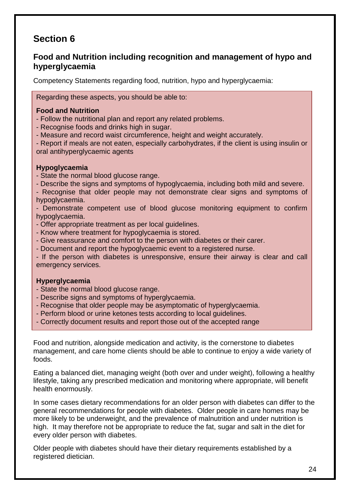### **Food and Nutrition including recognition and management of hypo and hyperglycaemia**

Competency Statements regarding food, nutrition, hypo and hyperglycaemia:

Regarding these aspects, you should be able to:

#### **Food and Nutrition**

- Follow the nutritional plan and report any related problems.
- Recognise foods and drinks high in sugar.
- Measure and record waist circumference, height and weight accurately.

- Report if meals are not eaten, especially carbohydrates, if the client is using insulin or oral antihyperglycaemic agents

#### **Hypoglycaemia**

- State the normal blood glucose range.
- Describe the signs and symptoms of hypoglycaemia, including both mild and severe.
- Recognise that older people may not demonstrate clear signs and symptoms of hypoglycaemia.

- Demonstrate competent use of blood glucose monitoring equipment to confirm hypoglycaemia.

- Offer appropriate treatment as per local guidelines.
- Know where treatment for hypoglycaemia is stored.
- Give reassurance and comfort to the person with diabetes or their carer.
- Document and report the hypoglycaemic event to a registered nurse.

- If the person with diabetes is unresponsive, ensure their airway is clear and call emergency services.

#### **Hyperglycaemia**

- State the normal blood glucose range.
- Describe signs and symptoms of hyperglycaemia.
- Recognise that older people may be asymptomatic of hyperglycaemia.
- Perform blood or urine ketones tests according to local guidelines.
- Correctly document results and report those out of the accepted range

Food and nutrition, alongside medication and activity, is the cornerstone to diabetes management, and care home clients should be able to continue to enjoy a wide variety of foods.

Eating a balanced diet, managing weight (both over and under weight), following a healthy lifestyle, taking any prescribed medication and monitoring where appropriate, will benefit health enormously.

In some cases dietary recommendations for an older person with diabetes can differ to the general recommendations for people with diabetes. Older people in care homes may be more likely to be underweight, and the prevalence of malnutrition and under nutrition is high. It may therefore not be appropriate to reduce the fat, sugar and salt in the diet for every older person with diabetes.

Older people with diabetes should have their dietary requirements established by a registered dietician.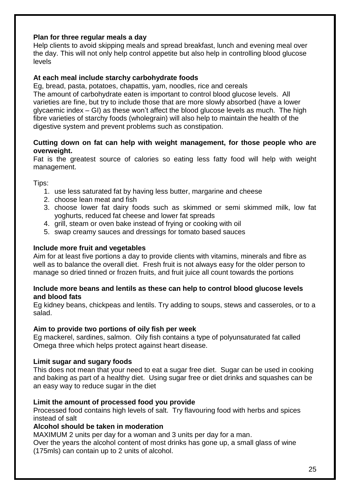#### **Plan for three regular meals a day**

Help clients to avoid skipping meals and spread breakfast, lunch and evening meal over the day. This will not only help control appetite but also help in controlling blood glucose levels

#### **At each meal include starchy carbohydrate foods**

Eg, bread, pasta, potatoes, chapattis, yam, noodles, rice and cereals The amount of carbohydrate eaten is important to control blood glucose levels. All varieties are fine, but try to include those that are more slowly absorbed (have a lower glycaemic index – GI) as these won't affect the blood glucose levels as much. The high fibre varieties of starchy foods (wholegrain) will also help to maintain the health of the digestive system and prevent problems such as constipation.

#### **Cutting down on fat can help with weight management, for those people who are overweight.**

Fat is the greatest source of calories so eating less fatty food will help with weight management.

Tips:

- 1. use less saturated fat by having less butter, margarine and cheese
- 2. choose lean meat and fish
- 3. choose lower fat dairy foods such as skimmed or semi skimmed milk, low fat yoghurts, reduced fat cheese and lower fat spreads
- 4. grill, steam or oven bake instead of frying or cooking with oil
- 5. swap creamy sauces and dressings for tomato based sauces

#### **Include more fruit and vegetables**

Aim for at least five portions a day to provide clients with vitamins, minerals and fibre as well as to balance the overall diet. Fresh fruit is not always easy for the older person to manage so dried tinned or frozen fruits, and fruit juice all count towards the portions

#### **Include more beans and lentils as these can help to control blood glucose levels and blood fats**

Eg kidney beans, chickpeas and lentils. Try adding to soups, stews and casseroles, or to a salad.

#### **Aim to provide two portions of oily fish per week**

Eg mackerel, sardines, salmon. Oily fish contains a type of polyunsaturated fat called Omega three which helps protect against heart disease.

#### **Limit sugar and sugary foods**

This does not mean that your need to eat a sugar free diet. Sugar can be used in cooking and baking as part of a healthy diet. Using sugar free or diet drinks and squashes can be an easy way to reduce sugar in the diet

#### **Limit the amount of processed food you provide**

Processed food contains high levels of salt. Try flavouring food with herbs and spices instead of salt

#### **Alcohol should be taken in moderation**

MAXIMUM 2 units per day for a woman and 3 units per day for a man.

Over the years the alcohol content of most drinks has gone up, a small glass of wine (175mls) can contain up to 2 units of alcohol.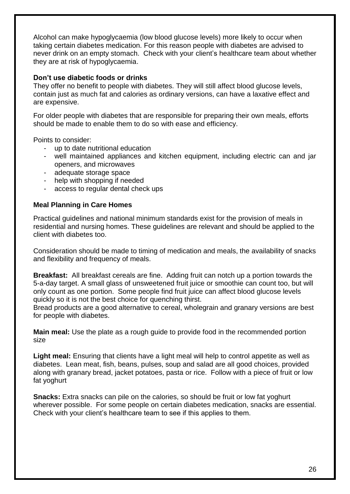Alcohol can make hypoglycaemia (low blood glucose levels) more likely to occur when taking certain diabetes medication. For this reason people with diabetes are advised to never drink on an empty stomach. Check with your client's healthcare team about whether they are at risk of hypoglycaemia.

#### **Don't use diabetic foods or drinks**

They offer no benefit to people with diabetes. They will still affect blood glucose levels, contain just as much fat and calories as ordinary versions, can have a laxative effect and are expensive.

For older people with diabetes that are responsible for preparing their own meals, efforts should be made to enable them to do so with ease and efficiency.

Points to consider:

- up to date nutritional education
- well maintained appliances and kitchen equipment, including electric can and jar openers, and microwaves
- adequate storage space
- help with shopping if needed
- access to regular dental check ups

#### **Meal Planning in Care Homes**

Practical guidelines and national minimum standards exist for the provision of meals in residential and nursing homes. These guidelines are relevant and should be applied to the client with diabetes too.

Consideration should be made to timing of medication and meals, the availability of snacks and flexibility and frequency of meals.

**Breakfast:** All breakfast cereals are fine. Adding fruit can notch up a portion towards the 5-a-day target. A small glass of unsweetened fruit juice or smoothie can count too, but will only count as one portion. Some people find fruit juice can affect blood glucose levels quickly so it is not the best choice for quenching thirst.

Bread products are a good alternative to cereal, wholegrain and granary versions are best for people with diabetes.

**Main meal:** Use the plate as a rough guide to provide food in the recommended portion size

**Light meal:** Ensuring that clients have a light meal will help to control appetite as well as diabetes. Lean meat, fish, beans, pulses, soup and salad are all good choices, provided along with granary bread, jacket potatoes, pasta or rice. Follow with a piece of fruit or low fat yoghurt

**Snacks:** Extra snacks can pile on the calories, so should be fruit or low fat yoghurt wherever possible. For some people on certain diabetes medication, snacks are essential. Check with your client's healthcare team to see if this applies to them.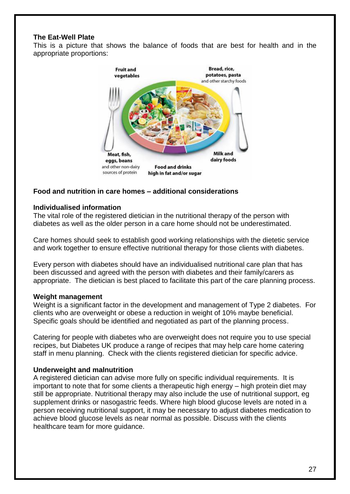#### **The Eat-Well Plate**

This is a picture that shows the balance of foods that are best for health and in the appropriate proportions:



#### **Food and nutrition in care homes – additional considerations**

#### **Individualised information**

The vital role of the registered dietician in the nutritional therapy of the person with diabetes as well as the older person in a care home should not be underestimated.

Care homes should seek to establish good working relationships with the dietetic service and work together to ensure effective nutritional therapy for those clients with diabetes.

Every person with diabetes should have an individualised nutritional care plan that has been discussed and agreed with the person with diabetes and their family/carers as appropriate. The dietician is best placed to facilitate this part of the care planning process.

#### **Weight management**

Weight is a significant factor in the development and management of Type 2 diabetes. For clients who are overweight or obese a reduction in weight of 10% maybe beneficial. Specific goals should be identified and negotiated as part of the planning process.

Catering for people with diabetes who are overweight does not require you to use special recipes, but Diabetes UK produce a range of recipes that may help care home catering staff in menu planning. Check with the clients registered dietician for specific advice.

#### **Underweight and malnutrition**

A registered dietician can advise more fully on specific individual requirements. It is important to note that for some clients a therapeutic high energy – high protein diet may still be appropriate. Nutritional therapy may also include the use of nutritional support, eg supplement drinks or nasogastric feeds. Where high blood glucose levels are noted in a person receiving nutritional support, it may be necessary to adjust diabetes medication to achieve blood glucose levels as near normal as possible. Discuss with the clients healthcare team for more guidance.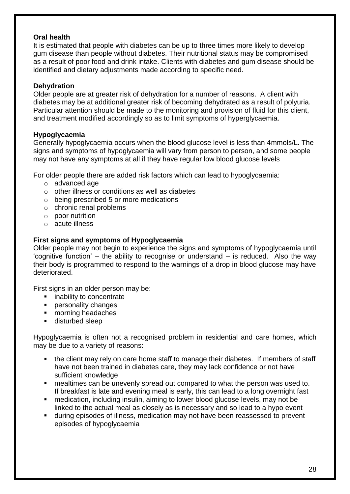#### **Oral health**

It is estimated that people with diabetes can be up to three times more likely to develop gum disease than people without diabetes. Their nutritional status may be compromised as a result of poor food and drink intake. Clients with diabetes and gum disease should be identified and dietary adjustments made according to specific need.

#### **Dehydration**

Older people are at greater risk of dehydration for a number of reasons. A client with diabetes may be at additional greater risk of becoming dehydrated as a result of polyuria. Particular attention should be made to the monitoring and provision of fluid for this client, and treatment modified accordingly so as to limit symptoms of hyperglycaemia.

#### **Hypoglycaemia**

Generally hypoglycaemia occurs when the blood glucose level is less than 4mmols/L. The signs and symptoms of hypoglycaemia will vary from person to person, and some people may not have any symptoms at all if they have regular low blood glucose levels

For older people there are added risk factors which can lead to hypoglycaemia:

- o advanced age
- o other illness or conditions as well as diabetes
- o being prescribed 5 or more medications
- o chronic renal problems
- o poor nutrition
- o acute illness

#### **First signs and symptoms of Hypoglycaemia**

Older people may not begin to experience the signs and symptoms of hypoglycaemia until 'cognitive function' – the ability to recognise or understand – is reduced. Also the way their body is programmed to respond to the warnings of a drop in blood glucose may have deteriorated.

First signs in an older person may be:

- **EXECUTE:** inability to concentrate
- **Personality changes**
- morning headaches
- disturbed sleep

Hypoglycaemia is often not a recognised problem in residential and care homes, which may be due to a variety of reasons:

- the client may rely on care home staff to manage their diabetes. If members of staff have not been trained in diabetes care, they may lack confidence or not have sufficient knowledge
- mealtimes can be unevenly spread out compared to what the person was used to. If breakfast is late and evening meal is early, this can lead to a long overnight fast
- medication, including insulin, aiming to lower blood glucose levels, may not be linked to the actual meal as closely as is necessary and so lead to a hypo event
- during episodes of illness, medication may not have been reassessed to prevent episodes of hypoglycaemia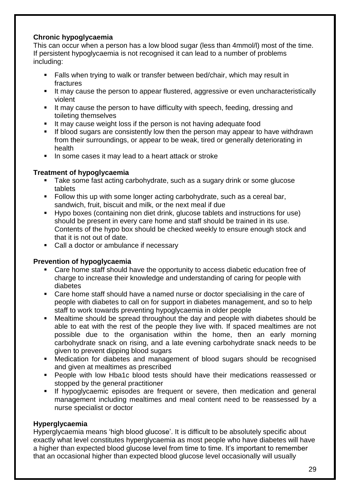#### **Chronic hypoglycaemia**

This can occur when a person has a low blood sugar (less than 4mmol/l) most of the time. If persistent hypoglycaemia is not recognised it can lead to a number of problems including:

- **Falls when trying to walk or transfer between bed/chair, which may result in** fractures
- It may cause the person to appear flustered, aggressive or even uncharacteristically violent
- If may cause the person to have difficulty with speech, feeding, dressing and toileting themselves
- If may cause weight loss if the person is not having adequate food
- If blood sugars are consistently low then the person may appear to have withdrawn from their surroundings, or appear to be weak, tired or generally deteriorating in health
- In some cases it may lead to a heart attack or stroke

#### **Treatment of hypoglycaemia**

- Take some fast acting carbohydrate, such as a sugary drink or some glucose tablets
- Follow this up with some longer acting carbohydrate, such as a cereal bar, sandwich, fruit, biscuit and milk, or the next meal if due
- Hypo boxes (containing non diet drink, glucose tablets and instructions for use) should be present in every care home and staff should be trained in its use. Contents of the hypo box should be checked weekly to ensure enough stock and that it is not out of date.
- Call a doctor or ambulance if necessary

#### **Prevention of hypoglycaemia**

- Care home staff should have the opportunity to access diabetic education free of charge to increase their knowledge and understanding of caring for people with diabetes
- Care home staff should have a named nurse or doctor specialising in the care of people with diabetes to call on for support in diabetes management, and so to help staff to work towards preventing hypoglycaemia in older people
- Mealtime should be spread throughout the day and people with diabetes should be able to eat with the rest of the people they live with. If spaced mealtimes are not possible due to the organisation within the home, then an early morning carbohydrate snack on rising, and a late evening carbohydrate snack needs to be given to prevent dipping blood sugars
- Medication for diabetes and management of blood sugars should be recognised and given at mealtimes as prescribed
- People with low Hba1c blood tests should have their medications reassessed or stopped by the general practitioner
- If hypoglycaemic episodes are frequent or severe, then medication and general management including mealtimes and meal content need to be reassessed by a nurse specialist or doctor

#### **Hyperglycaemia**

Hyperglycaemia means 'high blood glucose'. It is difficult to be absolutely specific about exactly what level constitutes hyperglycaemia as most people who have diabetes will have a higher than expected blood glucose level from time to time. It's important to remember that an occasional higher than expected blood glucose level occasionally will usually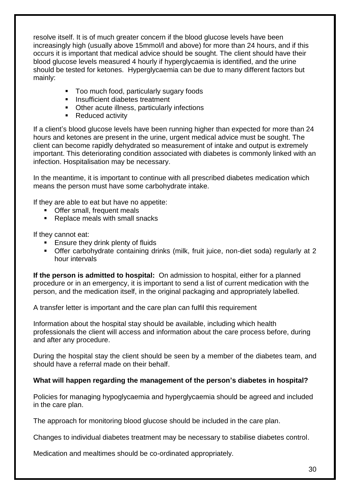resolve itself. It is of much greater concern if the blood glucose levels have been increasingly high (usually above 15mmol/l and above) for more than 24 hours, and if this occurs it is important that medical advice should be sought. The client should have their blood glucose levels measured 4 hourly if hyperglycaemia is identified, and the urine should be tested for ketones. Hyperglycaemia can be due to many different factors but mainly:

- Too much food, particularly sugary foods
- **Insufficient diabetes treatment**
- **Other acute illness, particularly infections**
- Reduced activity

If a client's blood glucose levels have been running higher than expected for more than 24 hours and ketones are present in the urine, urgent medical advice must be sought. The client can become rapidly dehydrated so measurement of intake and output is extremely important. This deteriorating condition associated with diabetes is commonly linked with an infection. Hospitalisation may be necessary.

In the meantime, it is important to continue with all prescribed diabetes medication which means the person must have some carbohydrate intake.

If they are able to eat but have no appetite:

- **•** Offer small, frequent meals
- Replace meals with small snacks

If they cannot eat:

- **Ensure they drink plenty of fluids**
- Offer carbohydrate containing drinks (milk, fruit juice, non-diet soda) regularly at 2 hour intervals

**If the person is admitted to hospital:** On admission to hospital, either for a planned procedure or in an emergency, it is important to send a list of current medication with the person, and the medication itself, in the original packaging and appropriately labelled.

A transfer letter is important and the care plan can fulfil this requirement

Information about the hospital stay should be available, including which health professionals the client will access and information about the care process before, during and after any procedure.

During the hospital stay the client should be seen by a member of the diabetes team, and should have a referral made on their behalf.

#### **What will happen regarding the management of the person's diabetes in hospital?**

Policies for managing hypoglycaemia and hyperglycaemia should be agreed and included in the care plan.

The approach for monitoring blood glucose should be included in the care plan.

Changes to individual diabetes treatment may be necessary to stabilise diabetes control.

Medication and mealtimes should be co-ordinated appropriately.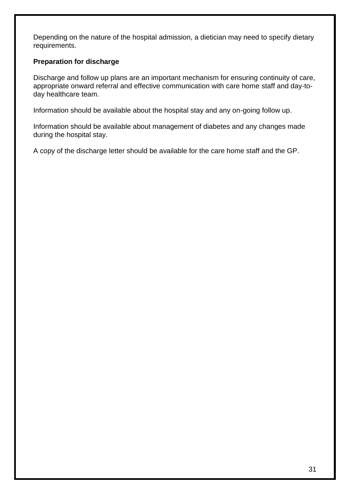Depending on the nature of the hospital admission, a dietician may need to specify dietary requirements.

#### **Preparation for discharge**

Discharge and follow up plans are an important mechanism for ensuring continuity of care, appropriate onward referral and effective communication with care home staff and day-today healthcare team.

Information should be available about the hospital stay and any on-going follow up.

Information should be available about management of diabetes and any changes made during the hospital stay.

A copy of the discharge letter should be available for the care home staff and the GP.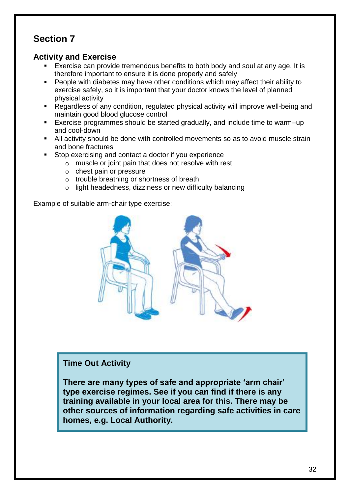### **Activity and Exercise**

- Exercise can provide tremendous benefits to both body and soul at any age. It is therefore important to ensure it is done properly and safely
- **People with diabetes may have other conditions which may affect their ability to** exercise safely, so it is important that your doctor knows the level of planned physical activity
- Regardless of any condition, regulated physical activity will improve well-being and maintain good blood glucose control
- Exercise programmes should be started gradually, and include time to warm–up and cool-down
- All activity should be done with controlled movements so as to avoid muscle strain and bone fractures
- Stop exercising and contact a doctor if you experience
	- o muscle or joint pain that does not resolve with rest
	- o chest pain or pressure
	- o trouble breathing or shortness of breath
	- o light headedness, dizziness or new difficulty balancing

Example of suitable arm-chair type exercise:



### **Time Out Activity**

**There are many types of safe and appropriate 'arm chair' type exercise regimes. See if you can find if there is any training available in your local area for this. There may be other sources of information regarding safe activities in care homes, e.g. Local Authority.**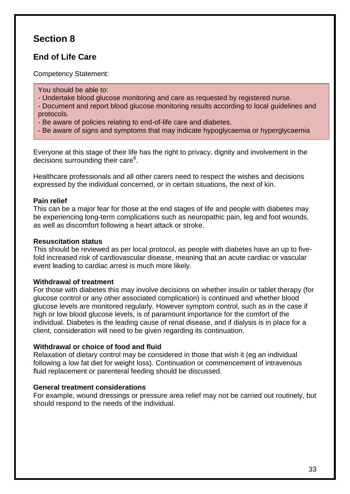### **End of Life Care**

Competency Statement:

You should be able to:

- Undertake blood glucose monitoring and care as requested by registered nurse.

- Document and report blood glucose monitoring results according to local guidelines and protocols.

- Be aware of policies relating to end-of-life care and diabetes.
- Be aware of signs and symptoms that may indicate hypoglycaemia or hyperglycaemia

Everyone at this stage of their life has the right to privacy, dignity and involvement in the decisions surrounding their care<sup>6</sup>.

Healthcare professionals and all other carers need to respect the wishes and decisions expressed by the individual concerned, or in certain situations, the next of kin.

#### **Pain relief**

This can be a major fear for those at the end stages of life and people with diabetes may be experiencing long-term complications such as neuropathic pain, leg and foot wounds, as well as discomfort following a heart attack or stroke.

#### **Resuscitation status**

This should be reviewed as per local protocol, as people with diabetes have an up to fivefold increased risk of cardiovascular disease, meaning that an acute cardiac or vascular event leading to cardiac arrest is much more likely.

#### **Withdrawal of treatment**

For those with diabetes this may involve decisions on whether insulin or tablet therapy (for glucose control or any other associated complication) is continued and whether blood glucose levels are monitored regularly. However symptom control, such as in the case if high or low blood glucose levels, is of paramount importance for the comfort of the individual. Diabetes is the leading cause of renal disease, and if dialysis is in place for a client, consideration will need to be given regarding its continuation.

#### **Withdrawal or choice of food and fluid**

Relaxation of dietary control may be considered in those that wish it (eg an individual following a low fat diet for weight loss). Continuation or commencement of intravenous fluid replacement or parenteral feeding should be discussed.

#### **General treatment considerations**

For example, wound dressings or pressure area relief may not be carried out routinely, but should respond to the needs of the individual.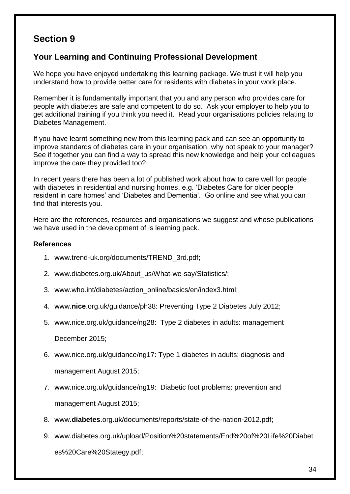### **Your Learning and Continuing Professional Development**

We hope you have enjoyed undertaking this learning package. We trust it will help you understand how to provide better care for residents with diabetes in your work place.

Remember it is fundamentally important that you and any person who provides care for people with diabetes are safe and competent to do so. Ask your employer to help you to get additional training if you think you need it. Read your organisations policies relating to Diabetes Management.

If you have learnt something new from this learning pack and can see an opportunity to improve standards of diabetes care in your organisation, why not speak to your manager? See if together you can find a way to spread this new knowledge and help your colleagues improve the care they provided too?

In recent years there has been a lot of published work about how to care well for people with diabetes in residential and nursing homes, e.g. 'Diabetes Care for older people resident in care homes' and 'Diabetes and Dementia'. Go online and see what you can find that interests you.

Here are the references, resources and organisations we suggest and whose publications we have used in the development of is learning pack.

#### **References**

- 1. www.trend-uk.org/documents/TREND\_3rd.pdf;
- 2. www.diabetes.org.uk/About\_us/What-we-say/Statistics/;
- 3. www.who.int/diabetes/action\_online/basics/en/index3.html;
- 4. www.**nice**[.org.uk/guidance/ph38:](http://www.nice.org.uk/guidance/ph38) Preventing Type 2 Diabetes July 2012;
- 5. [www.nice.org.uk/guidance/ng28:](http://www.nice.org.uk/guidance/ng28) Type 2 diabetes in adults: management

December 2015;

- 6. [www.nice.org.uk/guidance/ng17:](http://www.nice.org.uk/guidance/ng17) Type 1 diabetes in adults: diagnosis and management August 2015;
- 7. [www.nice.org.uk/guidance/ng19:](http://www.nice.org.uk/guidance/ng19) Diabetic foot problems: prevention and management August 2015;
- 8. www.**diabetes**.org.uk/documents/reports/state-of-the-nation-2012.pdf;
- 9. www.diabetes.org.uk/upload/Position%20statements/End%20of%20Life%20Diabet es%20Care%20Stategy.pdf;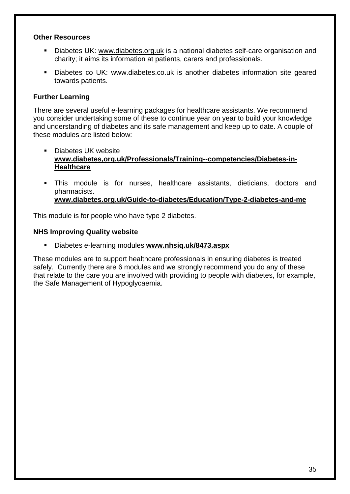#### **Other Resources**

- Diabetes UK: [www.diabetes.org.uk](http://www.diabetes.org.uk/) is a national diabetes self-care organisation and charity; it aims its information at patients, carers and professionals.
- Diabetes co UK: [www.diabetes.co.uk](http://www.diabetes.co.uk/) is another diabetes information site geared towards patients.

#### **Further Learning**

There are several useful e-learning packages for healthcare assistants. We recommend you consider undertaking some of these to continue year on year to build your knowledge and understanding of diabetes and its safe management and keep up to date. A couple of these modules are listed below:

- Diabetes UK website **[www.diabetes,org.uk/Professionals/Training--competencies/Diabetes-in-](http://www.diabetes,org.uk/Professionals/Training--competencies/Diabetes-in-Healthcare)[Healthcare](http://www.diabetes,org.uk/Professionals/Training--competencies/Diabetes-in-Healthcare)**
- This module is for nurses, healthcare assistants, dieticians, doctors and pharmacists. **[www.diabetes.org.uk/Guide-to-diabetes/Education/Type-2-diabetes-and-me](http://www.diabetes.org.uk/Guide-to-diabetes/Education/Type-2-diabetes-and-me)**

This module is for people who have type 2 diabetes.

#### **NHS Improving Quality website**

Diabetes e-learning modules **[www.nhsiq.uk/8473.aspx](http://www.nhsiq.uk/8473.aspx)**

These modules are to support healthcare professionals in ensuring diabetes is treated safely. Currently there are 6 modules and we strongly recommend you do any of these that relate to the care you are involved with providing to people with diabetes, for example, the Safe Management of Hypoglycaemia.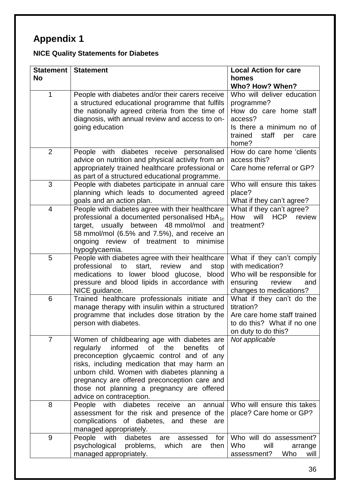# **Appendix 1**

# **NICE Quality Statements for Diabetes**

| Statement      | <b>Statement</b>                                                                                                                                                                                                                                                                                                                                                         | <b>Local Action for care</b>                                                                                                                          |
|----------------|--------------------------------------------------------------------------------------------------------------------------------------------------------------------------------------------------------------------------------------------------------------------------------------------------------------------------------------------------------------------------|-------------------------------------------------------------------------------------------------------------------------------------------------------|
| <b>No</b>      |                                                                                                                                                                                                                                                                                                                                                                          | homes<br>Who? How? When?                                                                                                                              |
| 1              | People with diabetes and/or their carers receive<br>a structured educational programme that fulfils<br>the nationally agreed criteria from the time of<br>diagnosis, with annual review and access to on-<br>going education                                                                                                                                             | Who will deliver education<br>programme?<br>How do care home staff<br>access?<br>Is there a minimum no of<br>trained<br>staff<br>per<br>care<br>home? |
| $\overline{2}$ | People with diabetes receive personalised<br>advice on nutrition and physical activity from an<br>appropriately trained healthcare professional or<br>as part of a structured educational programme.                                                                                                                                                                     | How do care home 'clients<br>access this?<br>Care home referral or GP?                                                                                |
| 3              | People with diabetes participate in annual care<br>planning which leads to documented agreed<br>goals and an action plan.                                                                                                                                                                                                                                                | Who will ensure this takes<br>place?<br>What if they can't agree?                                                                                     |
| $\overline{4}$ | People with diabetes agree with their healthcare<br>professional a documented personalised HbA <sub>1c</sub><br>target, usually between 48 mmol/mol and<br>58 mmol/mol (6.5% and 7.5%), and receive an<br>review of treatment to<br>ongoing<br>minimise<br>hypoglycaemia.                                                                                                | What if they can't agree?<br>How<br>will<br><b>HCP</b><br>review<br>treatment?                                                                        |
| 5              | People with diabetes agree with their healthcare<br>start,<br>professional to<br>review<br>and<br>stop<br>medications to lower blood glucose, blood<br>pressure and blood lipids in accordance with<br>NICE guidance.                                                                                                                                                    | What if they can't comply<br>with medication?<br>Who will be responsible for<br>review<br>ensuring<br>and<br>changes to medications?                  |
| 6              | Trained healthcare professionals initiate and<br>manage therapy with insulin within a structured<br>programme that includes dose titration by the<br>person with diabetes.                                                                                                                                                                                               | What if they can't do the<br>titration?<br>Are care home staff trained<br>to do this? What if no one<br>on duty to do this?                           |
| $\overline{7}$ | Women of childbearing age with diabetes are<br>informed<br>regularly<br>of the<br>benefits<br>οf<br>preconception glycaemic control and of any<br>risks, including medication that may harm an<br>unborn child. Women with diabetes planning a<br>pregnancy are offered preconception care and<br>those not planning a pregnancy are offered<br>advice on contraception. | Not applicable                                                                                                                                        |
| 8              | People with diabetes<br>receive<br>annual<br>an<br>assessment for the risk and presence of the<br>complications of diabetes, and these<br>are<br>managed appropriately.                                                                                                                                                                                                  | Who will ensure this takes<br>place? Care home or GP?                                                                                                 |
| 9              | People<br>with<br>for<br>diabetes<br>are<br>assessed<br>psychological<br>problems,<br>which<br>then<br>are<br>managed appropriately.                                                                                                                                                                                                                                     | Who will do assessment?<br>Who<br>will<br>arrange<br>Who<br>assessment?<br>will                                                                       |